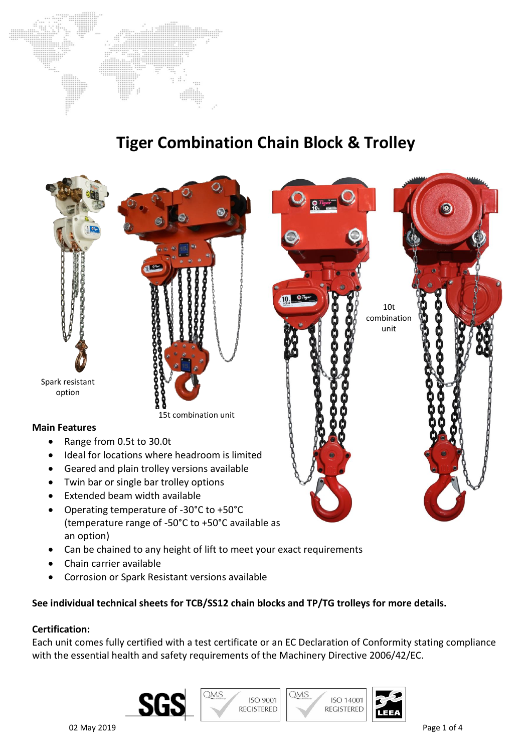

# **Tiger Combination Chain Block & Trolley**



- Can be chained to any height of lift to meet your exact requirements
- Chain carrier available
- Corrosion or Spark Resistant versions available

## **See individual technical sheets for TCB/SS12 chain blocks and TP/TG trolleys for more details.**

#### **Certification:**

Each unit comes fully certified with a test certificate or an EC Declaration of Conformity stating compliance with the essential health and safety requirements of the Machinery Directive 2006/42/EC.

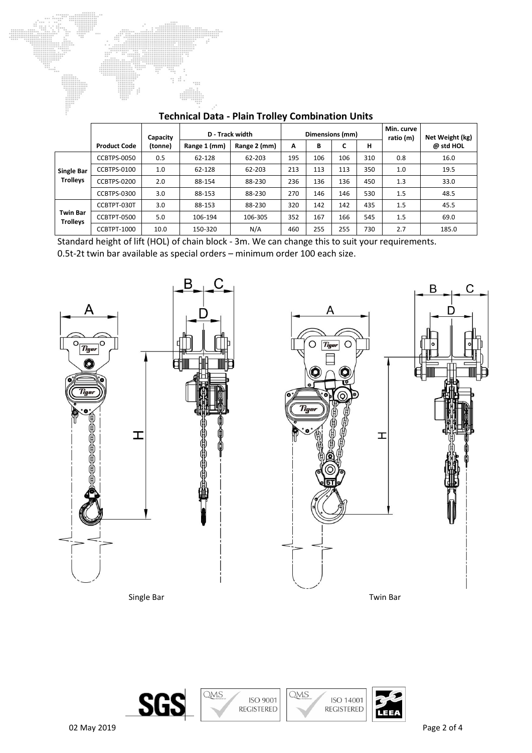|                                      | <b>Product Code</b> | Capacity<br>(tonne) | D - Track width<br>Range 2 (mm)<br>Range 1 (mm) |         | Dimensions (mm)<br>н<br>В<br>∽<br>А |     |     |     | Min. curve<br>ratio (m) | Net Weight (kg)<br>@ std HOL |
|--------------------------------------|---------------------|---------------------|-------------------------------------------------|---------|-------------------------------------|-----|-----|-----|-------------------------|------------------------------|
|                                      |                     |                     |                                                 |         |                                     |     |     |     |                         |                              |
| <b>Single Bar</b><br><b>Trolleys</b> | <b>CCBTPS-0050</b>  | 0.5                 | 62-128                                          | 62-203  | 195                                 | 106 | 106 | 310 | 0.8                     | 16.0                         |
|                                      | CCBTPS-0100         | 1.0                 | 62-128                                          | 62-203  | 213                                 | 113 | 113 | 350 | 1.0                     | 19.5                         |
|                                      | CCBTPS-0200         | 2.0                 | 88-154                                          | 88-230  | 236                                 | 136 | 136 | 450 | 1.3                     | 33.0                         |
|                                      | CCBTPS-0300         | 3.0                 | 88-153                                          | 88-230  | 270                                 | 146 | 146 | 530 | 1.5                     | 48.5                         |
| <b>Twin Bar</b><br><b>Trolleys</b>   | CCBTPT-030T         | 3.0                 | 88-153                                          | 88-230  | 320                                 | 142 | 142 | 435 | 1.5                     | 45.5                         |
|                                      | CCBTPT-0500         | 5.0                 | 106-194                                         | 106-305 | 352                                 | 167 | 166 | 545 | 1.5                     | 69.0                         |
|                                      | CCBTPT-1000         | 10.0                | 150-320                                         | N/A     | 460                                 | 255 | 255 | 730 | 2.7                     | 185.0                        |

## **Technical Data - Plain Trolley Combination Units**

 $\frac{1}{1}$ 

Standard height of lift (HOL) of chain block - 3m. We can change this to suit your requirements. 0.5t-2t twin bar available as special orders – minimum order 100 each size.







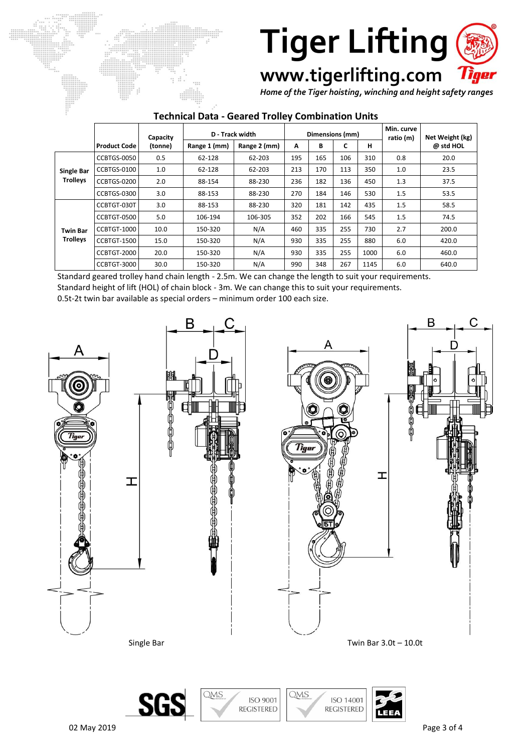

**www.tigerlifting.com**

*Home of the Tiger hoisting, winching and height safety ranges*

### **Technical Data - Geared Trolley Combination Units**

|                                      |                     | Capacity | D - Track width |              | Dimensions (mm) |     |     |      | Min. curve<br>ratio (m) | Net Weight (kg) |
|--------------------------------------|---------------------|----------|-----------------|--------------|-----------------|-----|-----|------|-------------------------|-----------------|
|                                      | <b>Product Code</b> | (tonne)  | Range 1 (mm)    | Range 2 (mm) | A               | В   | c   | н    |                         | @ std HOL       |
| <b>Single Bar</b><br><b>Trolleys</b> | CCBTGS-0050         | 0.5      | 62-128          | 62-203       | 195             | 165 | 106 | 310  | 0.8                     | 20.0            |
|                                      | CCBTGS-0100         | 1.0      | 62-128          | 62-203       | 213             | 170 | 113 | 350  | 1.0                     | 23.5            |
|                                      | CCBTGS-0200         | 2.0      | 88-154          | 88-230       | 236             | 182 | 136 | 450  | 1.3                     | 37.5            |
|                                      | CCBTGS-0300         | 3.0      | 88-153          | 88-230       | 270             | 184 | 146 | 530  | 1.5                     | 53.5            |
| <b>Twin Bar</b><br><b>Trolleys</b>   | CCBTGT-030T         | 3.0      | 88-153          | 88-230       | 320             | 181 | 142 | 435  | 1.5                     | 58.5            |
|                                      | CCBTGT-0500         | 5.0      | 106-194         | 106-305      | 352             | 202 | 166 | 545  | 1.5                     | 74.5            |
|                                      | CCBTGT-1000         | 10.0     | 150-320         | N/A          | 460             | 335 | 255 | 730  | 2.7                     | 200.0           |
|                                      | CCBTGT-1500         | 15.0     | 150-320         | N/A          | 930             | 335 | 255 | 880  | 6.0                     | 420.0           |
|                                      | <b>CCBTGT-2000</b>  | 20.0     | 150-320         | N/A          | 930             | 335 | 255 | 1000 | 6.0                     | 460.0           |
|                                      | CCBTGT-3000         | 30.0     | 150-320         | N/A          | 990             | 348 | 267 | 1145 | 6.0                     | 640.0           |

Standard geared trolley hand chain length - 2.5m. We can change the length to suit your requirements.

Standard height of lift (HOL) of chain block - 3m. We can change this to suit your requirements.

0.5t-2t twin bar available as special orders – minimum order 100 each size.



**ISO 9001** 

**REGISTERED** 

ISO 14001

**REGISTERED** 

SG